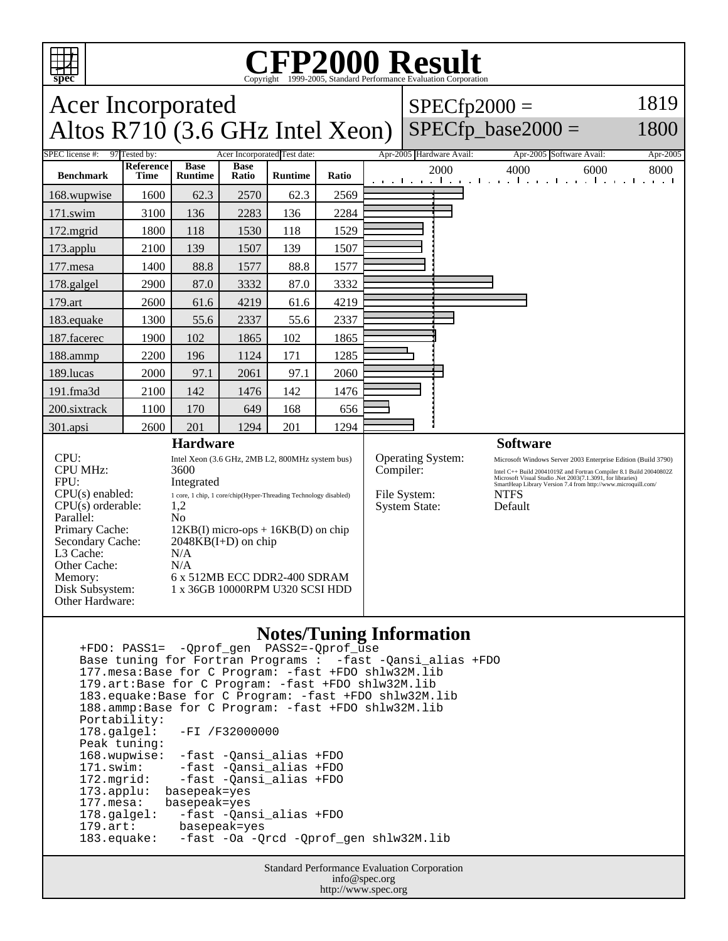

Other Hardware:

## C<sub>opyright</sub> ©1999-2005, Standard Performance Evaluation Corporation

| <b>Acer Incorporated</b><br>Altos R710 (3.6 GHz Intel Xeon)                                                                                                                               |                                                                                                                                                                                                                                                                                                                         |                        |                      |                | $SPECfp2000 =$<br>$SPECfp\_base2000 =$ |                                                                               | 1819<br>1800 |                          |                        |                 |                                                                                                                                                                                                                                                                        |                                                                   |
|-------------------------------------------------------------------------------------------------------------------------------------------------------------------------------------------|-------------------------------------------------------------------------------------------------------------------------------------------------------------------------------------------------------------------------------------------------------------------------------------------------------------------------|------------------------|----------------------|----------------|----------------------------------------|-------------------------------------------------------------------------------|--------------|--------------------------|------------------------|-----------------|------------------------------------------------------------------------------------------------------------------------------------------------------------------------------------------------------------------------------------------------------------------------|-------------------------------------------------------------------|
| <b>SPEC</b> license #:<br>97 Tested by:<br>Acer Incorporated Test date:                                                                                                                   |                                                                                                                                                                                                                                                                                                                         |                        |                      |                |                                        |                                                                               |              | Apr-2005 Hardware Avail: |                        |                 | Apr-2005 Software Avail:                                                                                                                                                                                                                                               | Apr-2005                                                          |
| <b>Benchmark</b>                                                                                                                                                                          | <b>Reference</b><br><b>Time</b>                                                                                                                                                                                                                                                                                         | <b>Base</b><br>Runtime | <b>Base</b><br>Ratio | <b>Runtime</b> | Ratio                                  |                                                                               |              | 2000                     |                        | 4000            | 6000                                                                                                                                                                                                                                                                   | 8000<br>and the and the anti-care because the and the anti-care t |
| 168.wupwise                                                                                                                                                                               | 1600                                                                                                                                                                                                                                                                                                                    | 62.3                   | 2570                 | 62.3           | 2569                                   |                                                                               |              |                          |                        |                 |                                                                                                                                                                                                                                                                        |                                                                   |
| 171.swim                                                                                                                                                                                  | 3100                                                                                                                                                                                                                                                                                                                    | 136                    | 2283                 | 136            | 2284                                   |                                                                               |              |                          |                        |                 |                                                                                                                                                                                                                                                                        |                                                                   |
| 172.mgrid                                                                                                                                                                                 | 1800                                                                                                                                                                                                                                                                                                                    | 118                    | 1530                 | 118            | 1529                                   |                                                                               |              |                          |                        |                 |                                                                                                                                                                                                                                                                        |                                                                   |
| 173.applu                                                                                                                                                                                 | 2100                                                                                                                                                                                                                                                                                                                    | 139                    | 1507                 | 139            | 1507                                   |                                                                               |              |                          |                        |                 |                                                                                                                                                                                                                                                                        |                                                                   |
| 177.mesa                                                                                                                                                                                  | 1400                                                                                                                                                                                                                                                                                                                    | 88.8                   | 1577                 | 88.8           | 1577                                   |                                                                               |              |                          |                        |                 |                                                                                                                                                                                                                                                                        |                                                                   |
| 178.galgel                                                                                                                                                                                | 2900                                                                                                                                                                                                                                                                                                                    | 87.0                   | 3332                 | 87.0           | 3332                                   |                                                                               |              |                          |                        |                 |                                                                                                                                                                                                                                                                        |                                                                   |
| 179.art                                                                                                                                                                                   | 2600                                                                                                                                                                                                                                                                                                                    | 61.6                   | 4219                 | 61.6           | 4219                                   |                                                                               |              |                          |                        |                 |                                                                                                                                                                                                                                                                        |                                                                   |
| 183.equake                                                                                                                                                                                | 1300                                                                                                                                                                                                                                                                                                                    | 55.6                   | 2337                 | 55.6           | 2337                                   |                                                                               |              |                          |                        |                 |                                                                                                                                                                                                                                                                        |                                                                   |
| 187.facerec                                                                                                                                                                               | 1900                                                                                                                                                                                                                                                                                                                    | 102                    | 1865                 | 102            | 1865                                   |                                                                               |              |                          |                        |                 |                                                                                                                                                                                                                                                                        |                                                                   |
| 188.ammp                                                                                                                                                                                  | 2200                                                                                                                                                                                                                                                                                                                    | 196                    | 1124                 | 171            | 1285                                   |                                                                               |              |                          |                        |                 |                                                                                                                                                                                                                                                                        |                                                                   |
| 189.lucas                                                                                                                                                                                 | 2000                                                                                                                                                                                                                                                                                                                    | 97.1                   | 2061                 | 97.1           | 2060                                   |                                                                               |              |                          |                        |                 |                                                                                                                                                                                                                                                                        |                                                                   |
| 191.fma3d                                                                                                                                                                                 | 2100                                                                                                                                                                                                                                                                                                                    | 142                    | 1476                 | 142            | 1476                                   |                                                                               |              |                          |                        |                 |                                                                                                                                                                                                                                                                        |                                                                   |
| 200.sixtrack                                                                                                                                                                              | 1100                                                                                                                                                                                                                                                                                                                    | 170                    | 649                  | 168            | 656                                    |                                                                               |              |                          |                        |                 |                                                                                                                                                                                                                                                                        |                                                                   |
| 301.apsi                                                                                                                                                                                  | 2600                                                                                                                                                                                                                                                                                                                    | 201                    | 1294                 | 201            | 1294                                   |                                                                               |              |                          |                        |                 |                                                                                                                                                                                                                                                                        |                                                                   |
| <b>Hardware</b>                                                                                                                                                                           |                                                                                                                                                                                                                                                                                                                         |                        |                      |                |                                        |                                                                               |              |                          |                        | <b>Software</b> |                                                                                                                                                                                                                                                                        |                                                                   |
| CPU:<br><b>CPU MHz:</b><br>FPU:<br>$CPU(s)$ enabled:<br>$CPU(s)$ orderable:<br>Parallel:<br>Primary Cache:<br>Secondary Cache:<br>L3 Cache:<br>Other Cache:<br>Memory:<br>Disk Subsystem: | Intel Xeon (3.6 GHz, 2MB L2, 800MHz system bus)<br>3600<br>Integrated<br>1 core, 1 chip, 1 core/chip(Hyper-Threading Technology disabled)<br>1,2<br>N <sub>0</sub><br>$12KB(I)$ micro-ops + $16KB(D)$ on chip<br>$2048KB(I+D)$ on chip<br>N/A<br>N/A<br>6 x 512MB ECC DDR2-400 SDRAM<br>1 x 36GB 10000RPM U320 SCSI HDD |                        |                      |                |                                        | <b>Operating System:</b><br>Compiler:<br>File System:<br><b>System State:</b> |              |                          | <b>NTFS</b><br>Default |                 | Microsoft Windows Server 2003 Enterprise Edition (Build 3790)<br>Intel C++ Build 20041019Z and Fortran Compiler 8.1 Build 20040802Z<br>Microsoft Visual Studio .<br>Net 2003(7.1.3091, for libraries)<br>SmartHeap Library Version 7.4 from http://www.microquill.com/ |                                                                   |

## **Notes/Tuning Information**

 +FDO: PASS1= -Qprof\_gen PASS2=-Qprof\_use Base tuning for Fortran Programs : -fast -Qansi\_alias +FDO 177.mesa:Base for C Program: -fast +FDO shlw32M.lib 179.art:Base for C Program: -fast +FDO shlw32M.lib 183.equake:Base for C Program: -fast +FDO shlw32M.lib 188.ammp:Base for C Program: -fast +FDO shlw32M.lib Portability:<br>178.galgel: -FI /F32000000 Peak tuning: 168.wupwise: -fast -Qansi\_alias +FDO 171.swim: -fast -Qansi\_alias +FDO 172.mgrid: -fast -Qansi\_alias +FDO 173.applu: basepeak=yes<br>177.mesa: basepeak=yes 177.mesa: basepeak=yes<br>178.galgel: -fast -Qan -fast -Qansi\_alias +FDO 179.art: basepeak=yes -fast -Oa -Qrcd -Qprof\_gen shlw32M.lib

> Standard Performance Evaluation Corporation info@spec.org http://www.spec.org